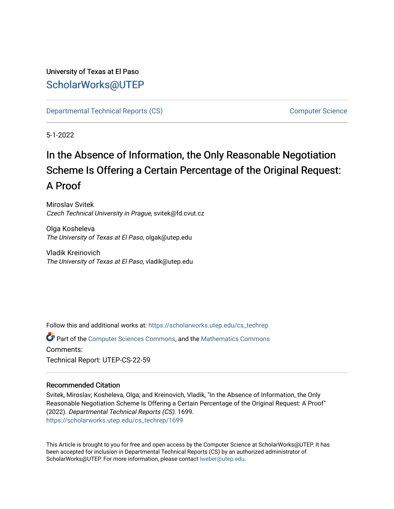# University of Texas at El Paso [ScholarWorks@UTEP](https://scholarworks.utep.edu/)

[Departmental Technical Reports \(CS\)](https://scholarworks.utep.edu/cs_techrep) [Computer Science](https://scholarworks.utep.edu/computer) 

5-1-2022

# In the Absence of Information, the Only Reasonable Negotiation Scheme Is Offering a Certain Percentage of the Original Request: A Proof

Miroslav Svitek Czech Technical University in Prague, svitek@fd.cvut.cz

Olga Kosheleva The University of Texas at El Paso, olgak@utep.edu

Vladik Kreinovich The University of Texas at El Paso, vladik@utep.edu

Follow this and additional works at: [https://scholarworks.utep.edu/cs\\_techrep](https://scholarworks.utep.edu/cs_techrep?utm_source=scholarworks.utep.edu%2Fcs_techrep%2F1699&utm_medium=PDF&utm_campaign=PDFCoverPages) 

Part of the [Computer Sciences Commons](https://network.bepress.com/hgg/discipline/142?utm_source=scholarworks.utep.edu%2Fcs_techrep%2F1699&utm_medium=PDF&utm_campaign=PDFCoverPages), and the [Mathematics Commons](https://network.bepress.com/hgg/discipline/174?utm_source=scholarworks.utep.edu%2Fcs_techrep%2F1699&utm_medium=PDF&utm_campaign=PDFCoverPages)  Comments: Technical Report: UTEP-CS-22-59

## Recommended Citation

Svitek, Miroslav; Kosheleva, Olga; and Kreinovich, Vladik, "In the Absence of Information, the Only Reasonable Negotiation Scheme Is Offering a Certain Percentage of the Original Request: A Proof" (2022). Departmental Technical Reports (CS). 1699. [https://scholarworks.utep.edu/cs\\_techrep/1699](https://scholarworks.utep.edu/cs_techrep/1699?utm_source=scholarworks.utep.edu%2Fcs_techrep%2F1699&utm_medium=PDF&utm_campaign=PDFCoverPages) 

This Article is brought to you for free and open access by the Computer Science at ScholarWorks@UTEP. It has been accepted for inclusion in Departmental Technical Reports (CS) by an authorized administrator of ScholarWorks@UTEP. For more information, please contact [lweber@utep.edu](mailto:lweber@utep.edu).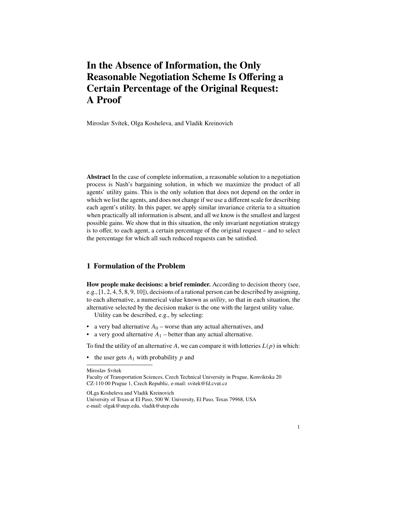# **In the Absence of Information, the Only Reasonable Negotiation Scheme Is Offering a Certain Percentage of the Original Request: A Proof**

Miroslav Svítek, Olga Kosheleva, and Vladik Kreinovich

**Abstract** In the case of complete information, a reasonable solution to a negotiation process is Nash's bargaining solution, in which we maximize the product of all agents' utility gains. This is the only solution that does not depend on the order in which we list the agents, and does not change if we use a different scale for describing each agent's utility. In this paper, we apply similar invariance criteria to a situation when practically all information is absent, and all we know is the smallest and largest possible gains. We show that in this situation, the only invariant negotiation strategy is to offer, to each agent, a certain percentage of the original request – and to select the percentage for which all such reduced requests can be satisfied.

## **1 Formulation of the Problem**

**How people make decisions: a brief reminder.** According to decision theory (see, e.g., [1, 2, 4, 5, 8, 9, 10]), decisions of a rational person can be described by assigning, to each alternative, a numerical value known as *utility*, so that in each situation, the alternative selected by the decision maker is the one with the largest utility value.

Utility can be described, e.g., by selecting:

- a very bad alternative  $A_0$  worse than any actual alternatives, and
- a very good alternative  $A_1$  better than any actual alternative.

To find the utility of an alternative A, we can compare it with lotteries  $L(p)$  in which:

• the user gets  $A_1$  with probability  $p$  and

Miroslav Svítek

OLga Kosheleva and Vladik Kreinovich

Faculty of Transportation Sciences, Czech Technical University in Prague, Konviktska 20 CZ-110 00 Prague 1, Czech Republic, e-mail: svitek@fd.cvut.cz

University of Texas at El Paso, 500 W. University, El Paso, Texas 79968, USA e-mail: olgak@utep.edu, vladik@utep.edu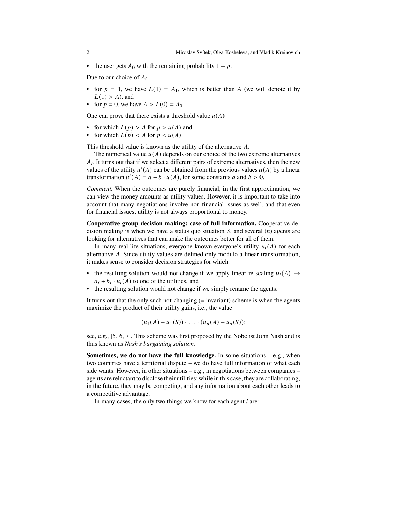• the user gets  $A_0$  with the remaining probability  $1 - p$ .

Due to our choice of  $A_i$ :

- for  $p = 1$ , we have  $L(1) = A_1$ , which is better than A (we will denote it by  $L(1) > A$ ), and
- for  $p = 0$ , we have  $A > L(0) = A_0$ .

One can prove that there exists a threshold value  $u(A)$ 

- for which  $L(p) > A$  for  $p > u(A)$  and
- for which  $L(p) < A$  for  $p < u(A)$ .

This threshold value is known as the utility of the alternative  $A$ .

The numerical value  $u(A)$  depends on our choice of the two extreme alternatives  $A_i$ . It turns out that if we select a different pairs of extreme alternatives, then the new values of the utility  $u'(A)$  can be obtained from the previous values  $u(A)$  by a linear transformation  $u'(A) = a + b \cdot u(A)$ , for some constants a and  $b > 0$ .

*Comment.* When the outcomes are purely financial, in the first approximation, we can view the money amounts as utility values. However, it is important to take into account that many negotiations involve non-financial issues as well, and that even for financial issues, utility is not always proportional to money.

**Cooperative group decision making: case of full information.** Cooperative decision making is when we have a status quo situation  $S$ , and several  $(n)$  agents are looking for alternatives that can make the outcomes better for all of them.

In many real-life situations, everyone known everyone's utility  $u_i(A)$  for each alternative  $A$ . Since utility values are defined only modulo a linear transformation, it makes sense to consider decision strategies for which:

- the resulting solution would not change if we apply linear re-scaling  $u_i(A) \rightarrow$  $a_i + b_i \cdot u_i(A)$  to one of the utilities, and
- the resulting solution would not change if we simply rename the agents.

It turns out that the only such not-changing (= invariant) scheme is when the agents maximize the product of their utility gains, i.e., the value

$$
(u_1(A) - u_1(S)) \cdot \ldots \cdot (u_n(A) - u_n(S));
$$

see, e.g., [5, 6, 7]. This scheme was first proposed by the Nobelist John Nash and is thus known as *Nash's bargaining solution.*

**Sometimes, we do not have the full knowledge.** In some situations – e.g., when two countries have a territorial dispute – we do have full information of what each side wants. However, in other situations – e.g., in negotiations between companies – agents are reluctant to disclose their utilities: while in this case, they are collaborating, in the future, they may be competing, and any information about each other leads to a competitive advantage.

In many cases, the only two things we know for each agent  $i$  are: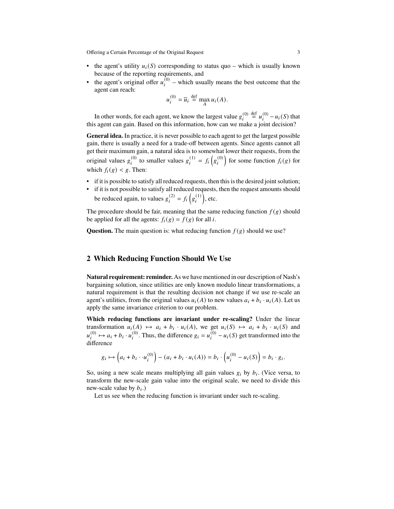Offering a Certain Percentage of the Original Request 3

- the agent's utility  $u_i(S)$  corresponding to status quo which is usually known because of the reporting requirements, and
- the agent's original offer  $u_i^{(0)}$  which usually means the best outcome that the agent can reach:

$$
u_i^{(0)} = \overline{u}_i \stackrel{\text{def}}{=} \max_A u_i(A).
$$

In other words, for each agent, we know the largest value  $g_i^{(0)} \stackrel{\text{def}}{=} u_i^{(0)} - u_i(S)$  that this agent can gain. Based on this information, how can we make a joint decision?

**General idea.** In practice, it is never possible to each agent to get the largest possible gain, there is usually a need for a trade-off between agents. Since agents cannot all get their maximum gain, a natural idea is to somewhat lower their requests, from the original values  $g_i^{(0)}$  to smaller values  $g_i^{(1)} = f_i(g_i^{(0)})$  for some function  $f_i(g)$  for which  $f_i(g) < g$ . Then:

- if it is possible to satisfy all reduced requests, then this is the desired joint solution;
- if it is not possible to satisfy all reduced requests, then the request amounts should be reduced again, to values  $g_i^{(2)} = f_i(g_i^{(1)})$ , etc.

The procedure should be fair, meaning that the same reducing function  $f(g)$  should be applied for all the agents:  $f_i(g) = f(g)$  for all *i*.

**Question.** The main question is: what reducing function  $f(g)$  should we use?

### **2 Which Reducing Function Should We Use**

**Natural requirement: reminder.** As we have mentioned in our description of Nash's bargaining solution, since utilities are only known modulo linear transformations, a natural requirement is that the resulting decision not change if we use re-scale an agent's utilities, from the original values  $u_i(A)$  to new values  $a_i + b_i \cdot u_i(A)$ . Let us apply the same invariance criterion to our problem.

**Which reducing functions are invariant under re-scaling?** Under the linear transformation  $u_i(A) \mapsto a_i + b_i \cdot u_i(A)$ , we get  $u_i(S) \mapsto a_i + b_i \cdot u_i(S)$  and  $u_i^{(0)} \mapsto a_i + b_i \cdot u_i^{(0)}$ . Thus, the difference  $g_i = u_i^{(0)} - u_i(S)$  get transformed into the difference

$$
g_i \mapsto \left(a_i + b_i \cdot u_i^{(0)}\right) - \left(a_i + b_i \cdot u_i(A)\right) = b_i \cdot \left(u_i^{(0)} - u_i(S)\right) = b_i \cdot g_i.
$$

So, using a new scale means multiplying all gain values  $g_i$  by  $b_i$ . (Vice versa, to transform the new-scale gain value into the original scale, we need to divide this new-scale value by  $b_i$ .)

Let us see when the reducing function is invariant under such re-scaling.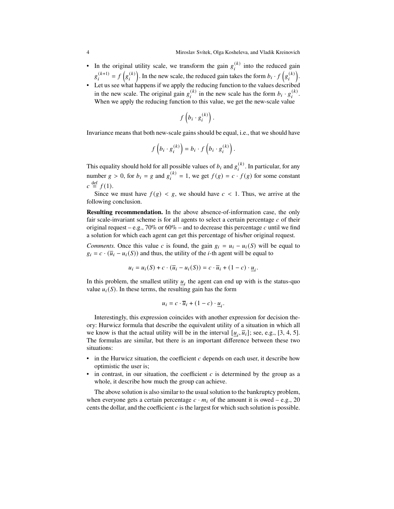- In the original utility scale, we transform the gain  $g_i^{(k)}$  into the reduced gain  $g_i^{(k+1)} = f(g_i^{(k)})$ . In the new scale, the reduced gain takes the form  $b_i \cdot f(g_i^{(k)})$ .
- Let us see what happens if we apply the reducing function to the values described in the new scale. The original gain  $g_i^{(k)}$  in the new scale has the form  $b_i \cdot g_i^{(k)}$ . When we apply the reducing function to this value, we get the new-scale value

$$
f\left(b_i\cdot g_i^{(k)}\right).
$$

Invariance means that both new-scale gains should be equal, i.e., that we should have

$$
f\left(b_i \cdot g_i^{(k)}\right) = b_i \cdot f\left(b_i \cdot g_i^{(k)}\right).
$$

This equality should hold for all possible values of  $b_i$  and  $g_i^{(k)}$ . In particular, for any number  $g > 0$ , for  $b_i = g$  and  $g_i^{(k)} = 1$ , we get  $f(g) = c \cdot f(g)$  for some constant  $c \stackrel{\text{def}}{=} f(1)$ .

Since we must have  $f(g) < g$ , we should have  $c < 1$ . Thus, we arrive at the following conclusion.

**Resulting recommendation.** In the above absence-of-information case, the only fair scale-invariant scheme is for all agents to select a certain percentage  $c$  of their original request – e.g.,  $70\%$  or  $60\%$  – and to decrease this percentage c until we find a solution for which each agent can get this percentage of his/her original request.

*Comments.* Once this value c is found, the gain  $g_i = u_i - u_i(S)$  will be equal to  $g_i = c \cdot (\overline{u}_i - u_i(S))$  and thus, the utility of the *i*-th agent will be equal to

$$
u_i = u_i(S) + c \cdot (\overline{u}_i - u_i(S)) = c \cdot \overline{u}_i + (1 - c) \cdot \underline{u}_i.
$$

In this problem, the smallest utility  $\underline{u}_i$  the agent can end up with is the status-quo value  $u_i(S)$ . In these terms, the resulting gain has the form

$$
u_i = c \cdot \overline{u}_i + (1 - c) \cdot \underline{u}_i.
$$

Interestingly, this expression coincides with another expression for decision theory: Hurwicz formula that describe the equivalent utility of a situation in which all we know is that the actual utility will be in the interval  $[\underline{u}_i, \overline{u}_i]$ ; see, e.g., [3, 4, 5]. The formulas are similar, but there is an important difference between these two situations:

- in the Hurwicz situation, the coefficient  $c$  depends on each user, it describe how optimistic the user is;
- in contrast, in our situation, the coefficient  $c$  is determined by the group as a whole, it describe how much the group can achieve.

The above solution is also similar to the usual solution to the bankruptcy problem, when everyone gets a certain percentage  $c \cdot m_i$  of the amount it is owed – e.g., 20 cents the dollar, and the coefficient  $c$  is the largest for which such solution is possible.